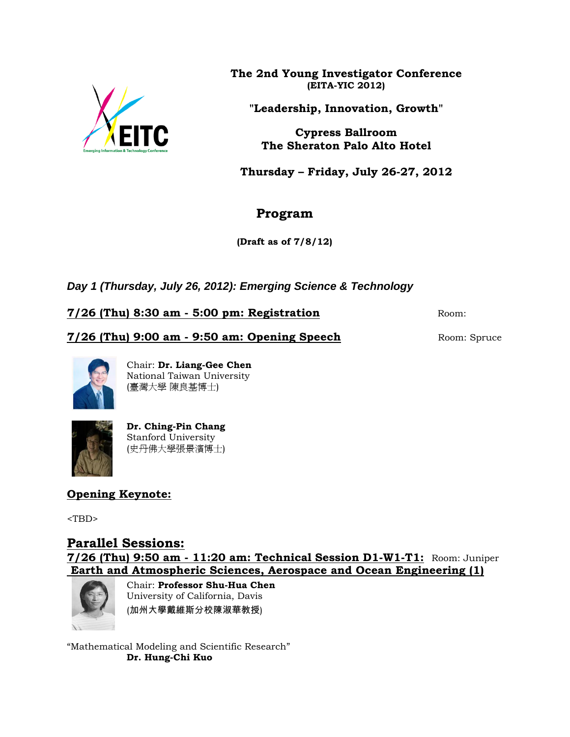

**The 2nd Young Investigator Conference (EITA-YIC 2012)**

**"Leadership, Innovation, Growth"**

**Cypress Ballroom The Sheraton Palo Alto Hotel**

**Thursday – Friday, July 26-27, 2012**

## **Program**

**(Draft as of 7/8/12)**

*Day 1 (Thursday, July 26, 2012): Emerging Science & Technology*

**7/26 (Thu) 8:30 am - 5:00 pm: Registration** Room:

**7/26 (Thu) 9:00 am - 9:50 am: Opening Speech** Room: Spruce



Chair: **Dr. Liang-Gee Chen**  National Taiwan University (臺灣大學 陳良基博士)



**Dr. Ching-Pin Chang** Stanford University (史丹佛大學張景濱博士)

**Opening Keynote:**

<TBD>

# **Parallel Sessions:**

**7/26 (Thu) 9:50 am - 11:20 am: Technical Session D1-W1-T1:** Room: Juniper **Earth and Atmospheric Sciences, Aerospace and Ocean Engineering (1)**



Chair: **Professor Shu-Hua Chen** University of California, Davis (加州大學戴維斯分校陳淑華教授)

"Mathematical Modeling and Scientific Research" **Dr. Hung-Chi Kuo**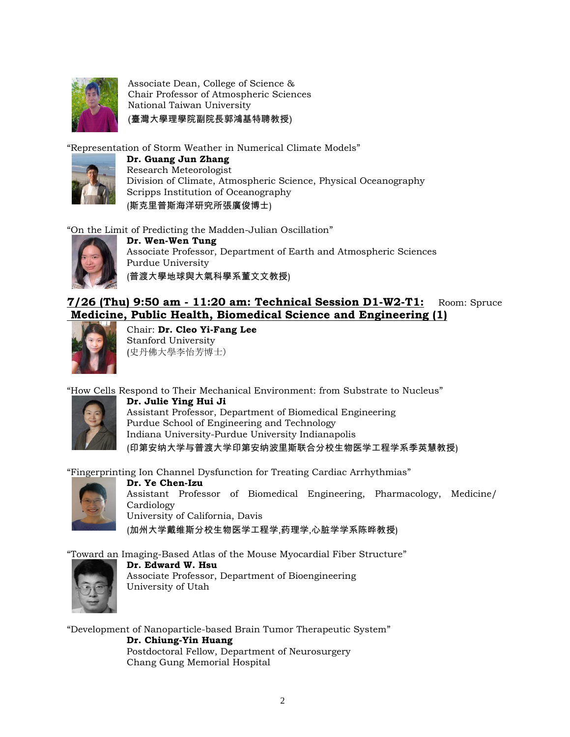

Associate Dean, College of Science & Chair Professor of Atmospheric Sciences National Taiwan University (臺灣大學理學院副院長郭鴻基特聘教授)

"Representation of Storm Weather in Numerical Climate Models"



**Dr. Guang Jun Zhang** Research Meteorologist Division of Climate, Atmospheric Science, Physical Oceanography Scripps Institution of Oceanography (斯克里普斯海洋研究所張廣俊博士)

"On the Limit of Predicting the Madden-Julian Oscillation"



**Dr. Wen-Wen Tung** Associate Professor, Department of Earth and Atmospheric Sciences Purdue University (普渡大學地球與大氣科學系董文文教授)

### **7/26 (Thu) 9:50 am - 11:20 am: Technical Session D1-W2-T1:** Room: Spruce **Medicine, Public Health, Biomedical Science and Engineering (1)**



Chair: **Dr. Cleo Yi-Fang Lee** Stanford University (史丹佛大學李怡芳博士)

"How Cells Respond to Their Mechanical Environment: from Substrate to Nucleus"



**Dr. Julie Ying Hui Ji** Assistant Professor, Department of Biomedical Engineering Purdue School of Engineering and Technology Indiana University-Purdue University Indianapolis (印第安纳大学与普渡大学印第安纳波里斯联合分校生物医学工程学系季英慧教授)

"Fingerprinting Ion Channel Dysfunction for Treating Cardiac Arrhythmias"



**Dr. Ye Chen-Izu** Assistant Professor of Biomedical Engineering, Pharmacology, Medicine/ Cardiology University of California, Davis (加州大学戴维斯分校生物医学工程学,药理学,心脏学学系陈晔教授)

"Toward an Imaging-Based Atlas of the Mouse Myocardial Fiber Structure"



**Dr. Edward W. Hsu** Associate Professor, Department of Bioengineering University of Utah

"Development of Nanoparticle-based Brain Tumor Therapeutic System" **Dr. Chiung-Yin Huang** Postdoctoral Fellow, Department of Neurosurgery Chang Gung Memorial Hospital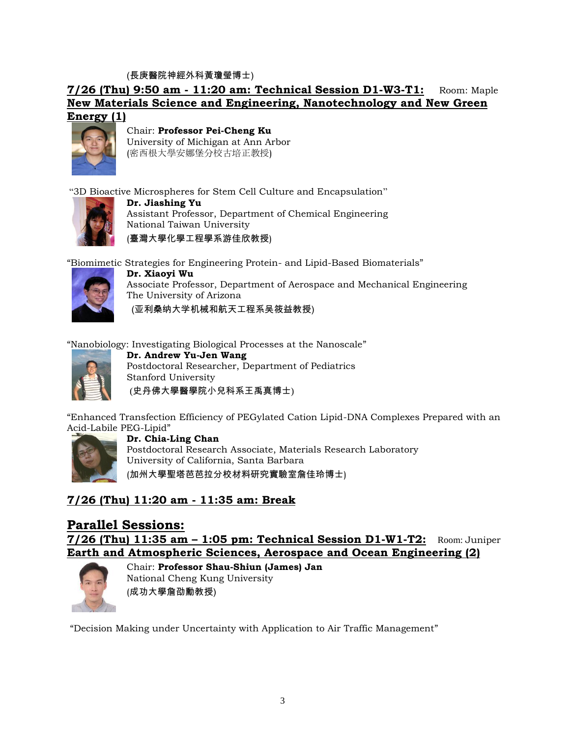(長庚醫院神經外科黃瓊瑩博士)

**7/26 (Thu) 9:50 am - 11:20 am: Technical Session D1-W3-T1:** Room: Maple **New Materials Science and Engineering, Nanotechnology and New Green Energy (1)**



Chair: **Professor Pei-Cheng Ku** University of Michigan at Ann Arbor (密西根大學安娜堡分校古培正教授)

"3D Bioactive Microspheres for Stem Cell Culture and Encapsulation"



**Dr. Jiashing Yu** Assistant Professor, Department of Chemical Engineering National Taiwan University (臺灣大學化學工程學系游佳欣教授)

"Biomimetic Strategies for Engineering Protein- and Lipid-Based Biomaterials"



**Dr. Xiaoyi Wu** Associate Professor, Department of Aerospace and Mechanical Engineering The University of Arizona (亚利桑纳大学机械和航天工程系吴筱益教授)

"Nanobiology: Investigating Biological Processes at the Nanoscale"



**Dr. Andrew Yu-Jen Wang** Postdoctoral Researcher, Department of Pediatrics Stanford University (史丹佛大學醫學院小兒科系王禹真博士)

"Enhanced Transfection Efficiency of PEGylated Cation Lipid-DNA Complexes Prepared with an Acid-Labile PEG-Lipid"



**Dr. Chia-Ling Chan** Postdoctoral Research Associate, Materials Research Laboratory University of California, Santa Barbara

(加州大學聖塔芭芭拉分校材料研究實驗室詹佳玲博士)

### **7/26 (Thu) 11:20 am - 11:35 am: Break**

### **Parallel Sessions:**

**7/26 (Thu) 11:35 am – 1:05 pm: Technical Session D1-W1-T2:** Room: Juniper **Earth and Atmospheric Sciences, Aerospace and Ocean Engineering (2)**



Chair: **Professor Shau-Shiun (James) Jan** National Cheng Kung University (成功大學詹劭勳教授)

"Decision Making under Uncertainty with Application to Air Traffic Management"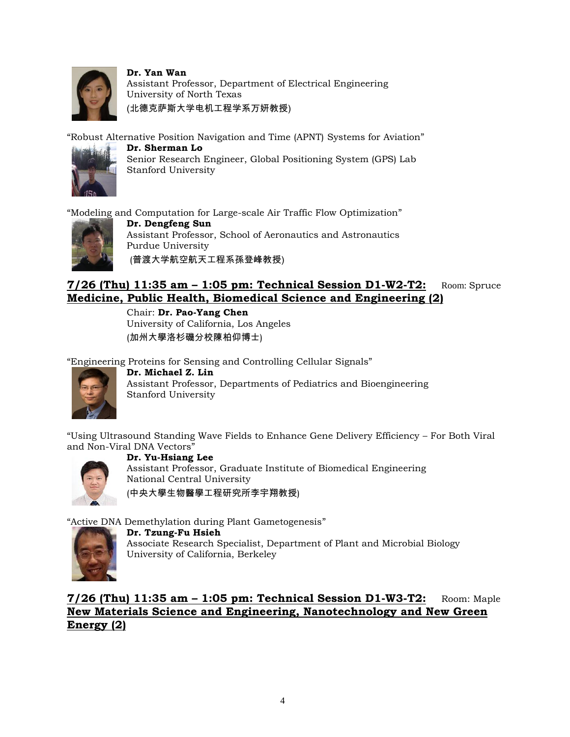

**Dr. Yan Wan** Assistant Professor, Department of Electrical Engineering University of North Texas (北德克萨斯大学电机工程学系万妍教授)

"Robust Alternative Position Navigation and Time (APNT) Systems for Aviation"



**Dr. Sherman Lo** Senior Research Engineer, Global Positioning System (GPS) Lab Stanford University

"Modeling and Computation for Large-scale Air Traffic Flow Optimization"



**Dr. Dengfeng Sun** Assistant Professor, School of Aeronautics and Astronautics Purdue University (普渡大学航空航天工程系孫登峰教授)

### **7/26 (Thu) 11:35 am – 1:05 pm: Technical Session D1-W2-T2:** Room: Spruce **Medicine, Public Health, Biomedical Science and Engineering (2)**

Chair: **Dr. Pao-Yang Chen** University of California, Los Angeles (加州大學洛杉磯分校陳柏仰博士)

"Engineering Proteins for Sensing and Controlling Cellular Signals"



**Dr. Michael Z. Lin** Assistant Professor, Departments of Pediatrics and Bioengineering Stanford University

"Using Ultrasound Standing Wave Fields to Enhance Gene Delivery Efficiency – For Both Viral and Non-Viral DNA Vectors"



**Dr. Yu-Hsiang Lee** Assistant Professor, Graduate Institute of Biomedical Engineering National Central University (中央大學生物醫學工程研究所李宇翔教授)

"Active DNA Demethylation during Plant Gametogenesis"



**Dr. Tzung-Fu Hsieh** Associate Research Specialist, Department of Plant and Microbial Biology University of California, Berkeley

**7/26 (Thu) 11:35 am – 1:05 pm: Technical Session D1-W3-T2:** Room: Maple **New Materials Science and Engineering, Nanotechnology and New Green Energy (2)**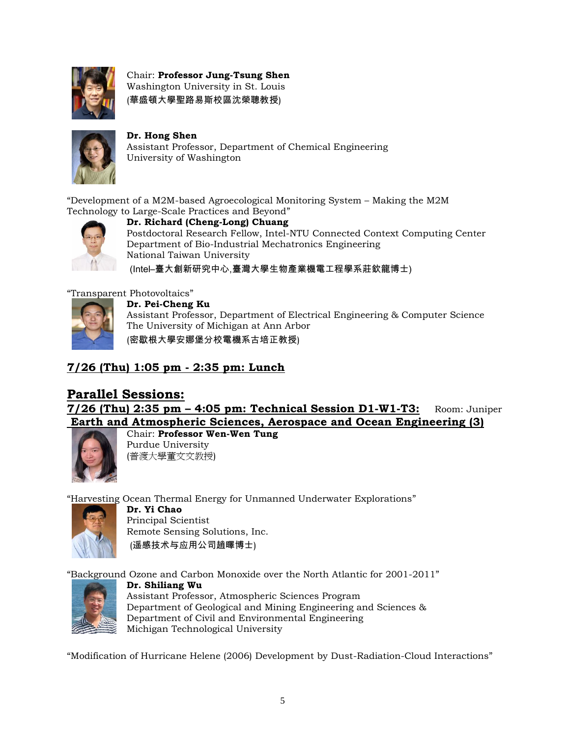

Chair: **Professor Jung-Tsung Shen**  Washington University in St. Louis (華盛頓大學聖路易斯校區沈榮聰教授)



#### **Dr. Hong Shen**

Assistant Professor, Department of Chemical Engineering University of Washington

"Development of a M2M-based Agroecological Monitoring System – Making the M2M Technology to Large-Scale Practices and Beyond"



**Dr. Richard (Cheng-Long) Chuang** Postdoctoral Research Fellow, Intel-NTU Connected Context Computing Center Department of Bio-Industrial Mechatronics Engineering National Taiwan University

(Intel–臺大創新研究中心,臺灣大學生物產業機電工程學系莊欽龍博士)

"Transparent Photovoltaics"



**Dr. Pei-Cheng Ku** Assistant Professor, Department of Electrical Engineering & Computer Science The University of Michigan at Ann Arbor (密歇根大學安娜堡分校電機系古培正教授)

### **7/26 (Thu) 1:05 pm - 2:35 pm: Lunch**

#### **Parallel Sessions: 7/26 (Thu) 2:35 pm – 4:05 pm: Technical Session D1-W1-T3:** Room: Juniper **Earth and Atmospheric Sciences, Aerospace and Ocean Engineering (3)** Chair: **Professor Wen-Wen Tung**



Purdue University (普渡大學董文文教授)

"Harvesting Ocean Thermal Energy for Unmanned Underwater Explorations"



**Dr. Yi Chao** Principal Scientist Remote Sensing Solutions, Inc. (遥感技术与应用公司趙曎博士)

"Background Ozone and Carbon Monoxide over the North Atlantic for 2001-2011"



**Dr. Shiliang Wu** Assistant Professor, Atmospheric Sciences Program Department of Geological and Mining Engineering and Sciences & Department of Civil and Environmental Engineering Michigan Technological University

"Modification of Hurricane Helene (2006) Development by Dust-Radiation-Cloud Interactions"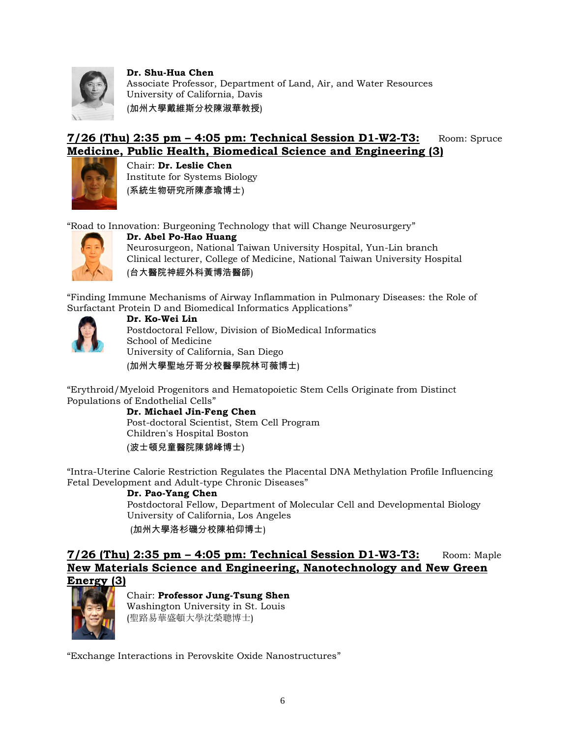

**Dr. Shu-Hua Chen** Associate Professor, Department of Land, Air, and Water Resources University of California, Davis (加州大學戴維斯分校陳淑華教授)

### **7/26 (Thu) 2:35 pm – 4:05 pm: Technical Session D1-W2-T3:** Room: Spruce **Medicine, Public Health, Biomedical Science and Engineering (3)**



Chair: **Dr. Leslie Chen** Institute for Systems Biology (系統生物研究所陳彥瑜博士)

"Road to Innovation: Burgeoning Technology that will Change Neurosurgery"



**Dr. Abel Po-Hao Huang** Neurosurgeon, National Taiwan University Hospital, Yun-Lin branch Clinical lecturer, College of Medicine, National Taiwan University Hospital (台大醫院神經外科黃博浩醫師)

"Finding Immune Mechanisms of Airway Inflammation in Pulmonary Diseases: the Role of Surfactant Protein D and Biomedical Informatics Applications"



**Dr. Ko-Wei Lin** Postdoctoral Fellow, Division of BioMedical Informatics School of Medicine University of California, San Diego (加州大學聖地牙哥分校醫學院林可薇博士)

"Erythroid/Myeloid Progenitors and Hematopoietic Stem Cells Originate from Distinct Populations of Endothelial Cells"

**Dr. Michael Jin-Feng Chen** Post-doctoral Scientist, Stem Cell Program Children's Hospital Boston (波士頓兒童醫院陳錦峰博士)

"Intra-Uterine Calorie Restriction Regulates the Placental DNA Methylation Profile Influencing Fetal Development and Adult-type Chronic Diseases"

#### **Dr. Pao-Yang Chen**

Postdoctoral Fellow, Department of Molecular Cell and Developmental Biology University of California, Los Angeles (加州大學洛杉磯分校陳柏仰博士)

#### **7/26 (Thu) 2:35 pm – 4:05 pm: Technical Session D1-W3-T3:** Room: Maple **New Materials Science and Engineering, Nanotechnology and New Green Energy (3)**



Chair: **Professor Jung-Tsung Shen** Washington University in St. Louis (聖路易華盛頓大學沈榮聰博士)

"Exchange Interactions in Perovskite Oxide Nanostructures"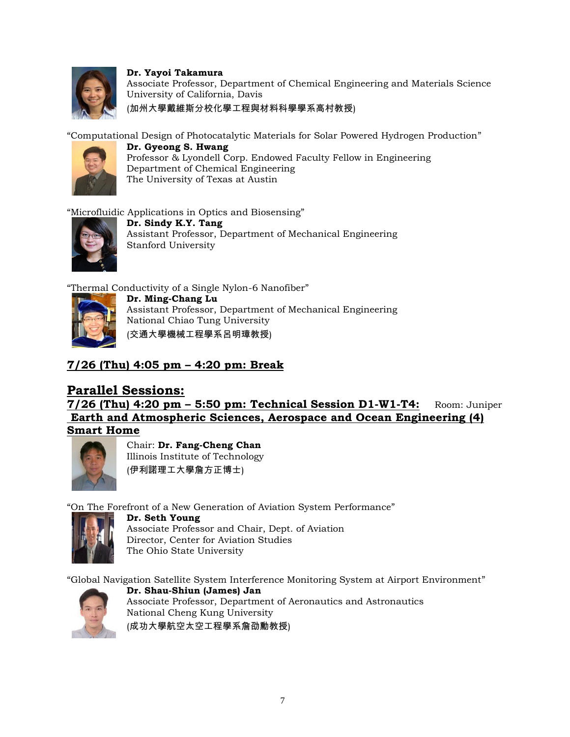

**Dr. Yayoi Takamura** Associate Professor, Department of Chemical Engineering and Materials Science University of California, Davis (加州大學戴維斯分校化學工程與材料科學學系高村教授)

"Computational Design of Photocatalytic Materials for Solar Powered Hydrogen Production"



**Dr. Gyeong S. Hwang** Professor & Lyondell Corp. Endowed Faculty Fellow in Engineering Department of Chemical Engineering The University of Texas at Austin

"Microfluidic Applications in Optics and Biosensing"



**Dr. Sindy K.Y. Tang** Assistant Professor, Department of Mechanical Engineering Stanford University

"Thermal Conductivity of a Single Nylon-6 Nanofiber"



**Dr. Ming-Chang Lu** Assistant Professor, Department of Mechanical Engineering National Chiao Tung University (交通大學機械工程學系呂明璋教授)

### **7/26 (Thu) 4:05 pm – 4:20 pm: Break**

### **Parallel Sessions:**

**7/26 (Thu) 4:20 pm – 5:50 pm: Technical Session D1-W1-T4:** Room: Juniper **Earth and Atmospheric Sciences, Aerospace and Ocean Engineering (4) Smart Home**



Chair: **Dr. Fang-Cheng Chan** Illinois Institute of Technology (伊利諾理工大學詹方正博士)

"On The Forefront of a New Generation of Aviation System Performance"



**Dr. Seth Young** Associate Professor and Chair, Dept. of Aviation Director, Center for Aviation Studies The Ohio State University

"Global Navigation Satellite System Interference Monitoring System at Airport Environment"



**Dr. Shau-Shiun (James) Jan** Associate Professor, Department of Aeronautics and Astronautics National Cheng Kung University (成功大學航空太空工程學系詹劭勳教授)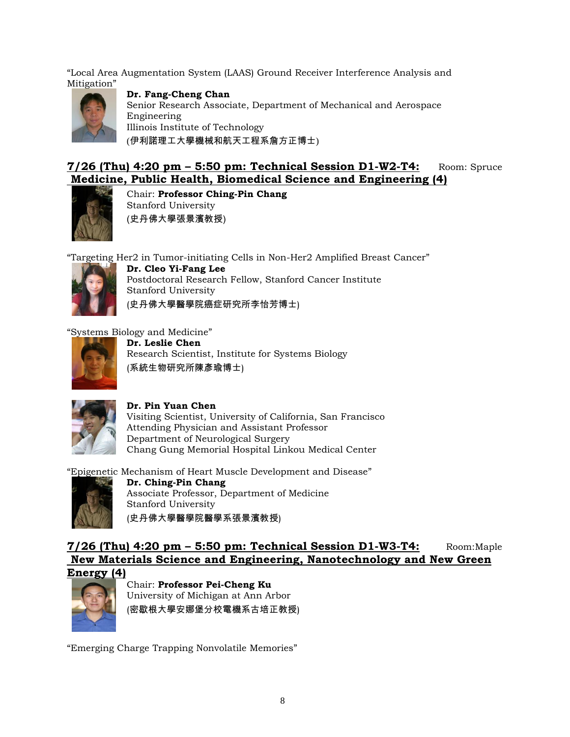"Local Area Augmentation System (LAAS) Ground Receiver Interference Analysis and Mitigation"



**Dr. Fang-Cheng Chan** Senior Research Associate, Department of Mechanical and Aerospace Engineering Illinois Institute of Technology (伊利諾理工大學機械和航天工程系詹方正博士)

### **7/26 (Thu) 4:20 pm – 5:50 pm: Technical Session D1-W2-T4:** Room: Spruce **Medicine, Public Health, Biomedical Science and Engineering (4)**



Chair: **Professor Ching-Pin Chang** Stanford University (史丹佛大學張景濱教授)

"Targeting Her2 in Tumor-initiating Cells in Non-Her2 Amplified Breast Cancer"



**Dr. Cleo Yi-Fang Lee** Postdoctoral Research Fellow, Stanford Cancer Institute Stanford University (史丹佛大學醫學院癌症研究所李怡芳博士)

"Systems Biology and Medicine"



**Dr. Leslie Chen** Research Scientist, Institute for Systems Biology (系統生物研究所陳彥瑜博士)



#### **Dr. Pin Yuan Chen**

Visiting Scientist, University of California, San Francisco Attending Physician and Assistant Professor Department of Neurological Surgery Chang Gung Memorial Hospital Linkou Medical Center

"Epigenetic Mechanism of Heart Muscle Development and Disease"



**Dr. Ching-Pin Chang** Associate Professor, Department of Medicine Stanford University (史丹佛大學醫學院醫學系張景濱教授)

### **7/26 (Thu) 4:20 pm – 5:50 pm: Technical Session D1-W3-T4:** Room:Maple **New Materials Science and Engineering, Nanotechnology and New Green Energy (4)**



Chair: **Professor Pei-Cheng Ku** University of Michigan at Ann Arbor (密歇根大學安娜堡分校電機系古培正教授)

"Emerging Charge Trapping Nonvolatile Memories"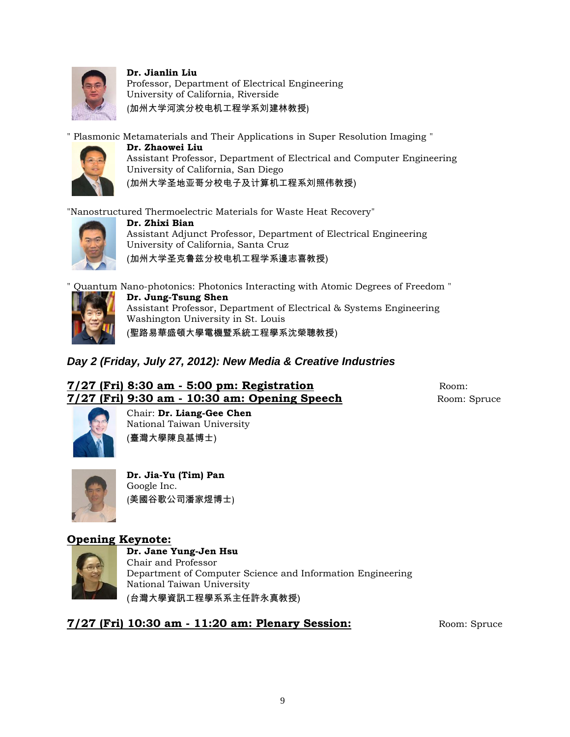

**Dr. Jianlin Liu**

Professor, Department of Electrical Engineering University of California, Riverside (加州大学河滨分校电机工程学系刘建林教授)

" Plasmonic Metamaterials and Their Applications in Super Resolution Imaging "



**Dr. Zhaowei Liu** Assistant Professor, Department of Electrical and Computer Engineering University of California, San Diego (加州大学圣地亚哥分校电子及计算机工程系刘照伟教授)

"Nanostructured Thermoelectric Materials for Waste Heat Recovery"



**Dr. Zhixi Bian** Assistant Adjunct Professor, Department of Electrical Engineering University of California, Santa Cruz (加州大学圣克鲁兹分校电机工程学系邊志喜教授)



" Quantum Nano-photonics: Photonics Interacting with Atomic Degrees of Freedom " **Dr. Jung-Tsung Shen** Assistant Professor, Department of Electrical & Systems Engineering Washington University in St. Louis (聖路易華盛頓大學電機暨系統工程學系沈榮聰教授)

### *Day 2 (Friday, July 27, 2012): New Media & Creative Industries*

### **7/27 (Fri) 8:30 am - 5:00 pm: Registration** Room: **7/27 (Fri) 9:30 am - 10:30 am: Opening Speech Room: Spruce Room: Spruce**



Chair: **Dr. Liang-Gee Chen** National Taiwan University (臺灣大學陳良基博士)



**Dr. Jia-Yu (Tim) Pan** Google Inc. (美國谷歌公司潘家煜博士)

### **Opening Keynote:**



**Dr. Jane Yung-Jen Hsu** Chair and Professor Department of Computer Science and Information Engineering National Taiwan University (台灣大學資訊工程學系系主任許永真教授)

**7/27 (Fri) 10:30 am - 11:20 am: Plenary Session:** Room: Spruce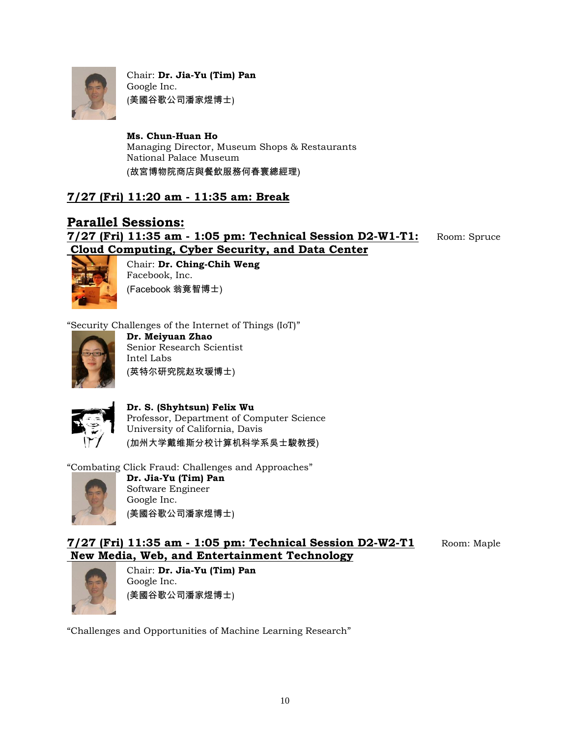

Chair: **Dr. Jia-Yu (Tim) Pan** Google Inc. (美國谷歌公司潘家煜博士)

**Ms. Chun-Huan Ho** Managing Director, Museum Shops & Restaurants National Palace Museum (故宮博物院商店與餐飲服務何春寰總經理)

### **7/27 (Fri) 11:20 am - 11:35 am: Break**

#### **Parallel Sessions: 7/27 (Fri) 11:35 am - 1:05 pm: Technical Session D2-W1-T1:** Room: Spruce **Cloud Computing, Cyber Security, and Data Center**



Chair: **Dr. Ching-Chih Weng** Facebook, Inc. (Facebook 翁竟智博士)

"Security Challenges of the Internet of Things (IoT)"



**Dr. Meiyuan Zhao** Senior Research Scientist Intel Labs (英特尔研究院赵玫瑗博士)



**Dr. S. (Shyhtsun) Felix Wu** Professor, Department of Computer Science University of California, Davis (加州大学戴维斯分校计算机科学系吳士駿教授)

"Combating Click Fraud: Challenges and Approaches"



**Dr. Jia-Yu (Tim) Pan** Software Engineer Google Inc. (美國谷歌公司潘家煜博士)

### **7/27 (Fri) 11:35 am - 1:05 pm: Technical Session D2-W2-T1** Room: Maple **New Media, Web, and Entertainment Technology**



Chair: **Dr. Jia-Yu (Tim) Pan** Google Inc. (美國谷歌公司潘家煜博士)

"Challenges and Opportunities of Machine Learning Research"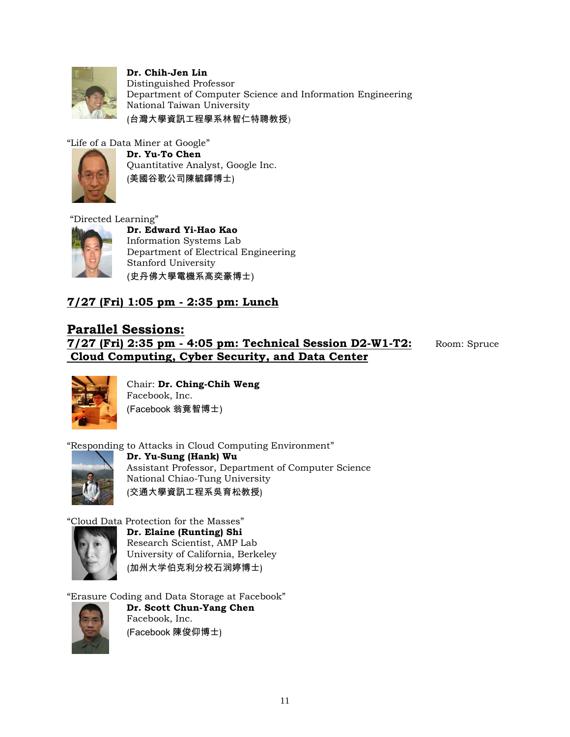

**Dr. Chih-Jen Lin** Distinguished Professor Department of Computer Science and Information Engineering National Taiwan University (台灣大學資訊工程學系林智仁特聘教授)

"Life of a Data Miner at Google"



**Dr. Yu-To Chen** Quantitative Analyst, Google Inc. (美國谷歌公司陳毓鐸博士)

#### "Directed Learning"



**Dr. Edward Yi-Hao Kao** Information Systems Lab Department of Electrical Engineering Stanford University (史丹佛大學電機系高奕豪博士)

### **7/27 (Fri) 1:05 pm - 2:35 pm: Lunch**

### **Parallel Sessions:**

**7/27 (Fri) 2:35 pm - 4:05 pm: Technical Session D2-W1-T2:** Room: Spruce **Cloud Computing, Cyber Security, and Data Center**



Chair: **Dr. Ching-Chih Weng** Facebook, Inc. (Facebook 翁竟智博士)

"Responding to Attacks in Cloud Computing Environment"



**Dr. Yu-Sung (Hank) Wu** Assistant Professor, Department of Computer Science National Chiao-Tung University (交通大學資訊工程系吳育松教授)

"Cloud Data Protection for the Masses"



**Dr. Elaine (Runting) Shi** Research Scientist, AMP Lab University of California, Berkeley (加州大学伯克利分校石润婷博士)

"Erasure Coding and Data Storage at Facebook"



**Dr. Scott Chun-Yang Chen** Facebook, Inc. (Facebook 陳俊仰博士)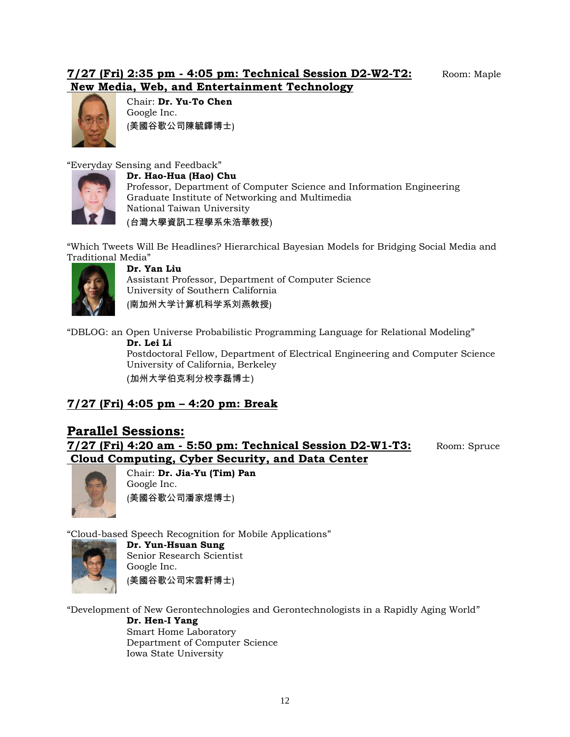#### **7/27 (Fri) 2:35 pm - 4:05 pm: Technical Session D2-W2-T2:** Room: Maple **New Media, Web, and Entertainment Technology**



Chair: **Dr. Yu-To Chen** Google Inc. (美國谷歌公司陳毓鐸博士)

"Everyday Sensing and Feedback"



**Dr. Hao-Hua (Hao) Chu**

Professor, Department of Computer Science and Information Engineering Graduate Institute of Networking and Multimedia National Taiwan University (台灣大學資訊工程學系朱浩華教授)

"Which Tweets Will Be Headlines? Hierarchical Bayesian Models for Bridging Social Media and Traditional Media"



#### **Dr. Yan Liu**

Assistant Professor, Department of Computer Science University of Southern California (南加州大学计算机科学系刘燕教授)

"DBLOG: an Open Universe Probabilistic Programming Language for Relational Modeling"

**Dr. Lei Li**

Postdoctoral Fellow, Department of Electrical Engineering and Computer Science University of California, Berkeley (加州大学伯克利分校李磊博士)

### **7/27 (Fri) 4:05 pm – 4:20 pm: Break**

## **Parallel Sessions:**

**7/27 (Fri) 4:20 am - 5:50 pm: Technical Session D2-W1-T3:** Room: Spruce **Cloud Computing, Cyber Security, and Data Center**



Chair: **Dr. Jia-Yu (Tim) Pan** Google Inc. (美國谷歌公司潘家煜博士)

"Cloud-based Speech Recognition for Mobile Applications"



**Dr. Yun-Hsuan Sung** Senior Research Scientist Google Inc. (美國谷歌公司宋雲軒博士)

"Development of New Gerontechnologies and Gerontechnologists in a Rapidly Aging World"

**Dr. Hen-I Yang** Smart Home Laboratory Department of Computer Science Iowa State University